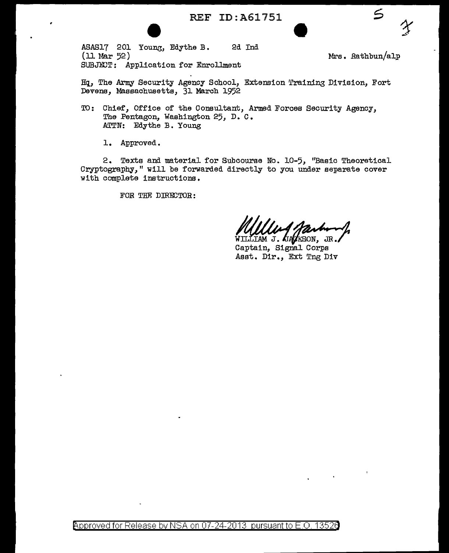ASAS17 201 Young, Edythe B. 2d Ind  $(11$  Mar 52) SUBJECT: Application for Enrollment

Mrs. Rathbun/alp

 $\leq$ 

Hq, The Army Security Agency School, Extension Training Division, Fort Devens, Massachusetts, 31 March 1952

- TO: Chief, Office of the Consultant, Armed Forces Security Agency, The Pentagon, Washington 25, D.C. ATTN: Edythe B. Young
	- 1. Approved.

2. Texts and material for Subcourse No. 10-5, "Basic Theoretical Cryptography," will be forwarded directly to you under separate cover with complete instructions.

FOR THE DIRECTOR:

WILLIAM J. GAGASON, JR. Asst. Dir., Ext Tng Div

Approved for Release by NSA on 07-24-2013 pursuant to E.O. 13526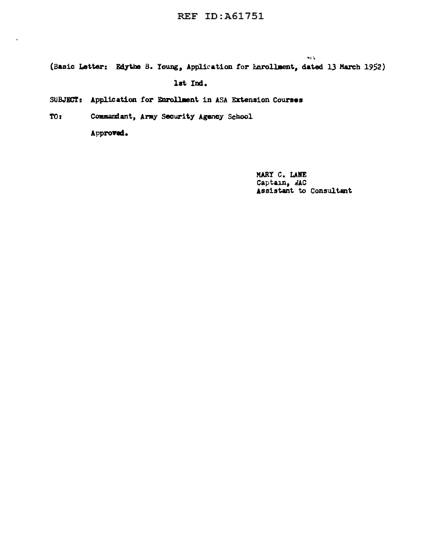(Basic Letter: Edythe B. Young, Application for Enrollment, dated 13 March 1952)

lat Ind.

SUBJECT: Application for Enrollment in ASA Extension Courses

T0: Commandant, Army Security Agency School

Approved.

MARY C. LANE Captain, NAC Assistant to Consultant

si v